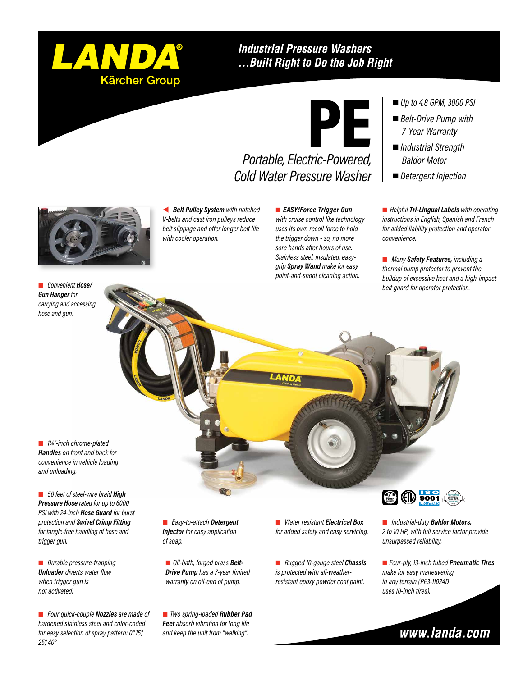

#### **Industrial Pressure Washers** ... Built Right to Do the Job Right



### *Portable, Electric-Powered, Cold Water Pressure Washer*

*Up to 4.8 GPM, 3000 PSI*

- *Belt-Drive Pump with 7-Year Warranty*
- *Industrial Strength Baldor Motor*
- *Detergent Injection*

 *Belt Pulley System with notched V-belts and cast iron pulleys reduce belt slippage and offer longer belt life with cooler operation.*

 *EASY!Force Trigger Gun with cruise control like technology uses its own recoil force to hold the trigger down - so, no more sore hands after hours of use. Stainless steel, insulated, easygrip Spray Wand make for easy point-and-shoot cleaning action.*

■ *Helpful Tri-Lingual Labels* with operating *instructions in English, Spanish and French for added liability protection and operator convenience.*

 *Many Safety Features, including a thermal pump protector to prevent the buildup of excessive heat and a high-impact belt guard for operator protection.*

 *Convenient Hose/ Gun Hanger for carrying and accessing hose and gun.*

 *1¼"-inch chrome-plated Handles on front and back for convenience in vehicle loading and unloading.*

■ 50 feet of steel-wire braid **High** *Pressure Hose rated for up to 6000 PSI with 24-inch Hose Guard for burst protection and Swivel Crimp Fitting for tangle-free handling of hose and trigger gun.*

 *Durable pressure-trapping Unloader diverts water flow when trigger gun is not activated.*

 *Four quick-couple Nozzles are made of hardened stainless steel and color-coded for easy selection of spray pattern: 0°, 15°, 25°, 40°.*

 *Easy-to-attach Detergent Injector for easy application of soap.*

 *Oil-bath, forged brass Belt-Drive Pump has a 7-year limited warranty on oil-end of pump.*

 *Two spring-loaded Rubber Pad Feet absorb vibration for long life and keep the unit from "walking".*

 *Water resistant Electrical Box for added safety and easy servicing.*

 *Rugged 10-gauge steel Chassis is protected with all-weatherresistant epoxy powder coat paint.*



 *Industrial-duty Baldor Motors, 2 to 10 HP, with full service factor provide unsurpassed reliability.*

 *Four-ply, 13-inch tubed Pneumatic Tires make for easy maneuvering in any terrain (PE3-11024D uses 10-inch tires).*